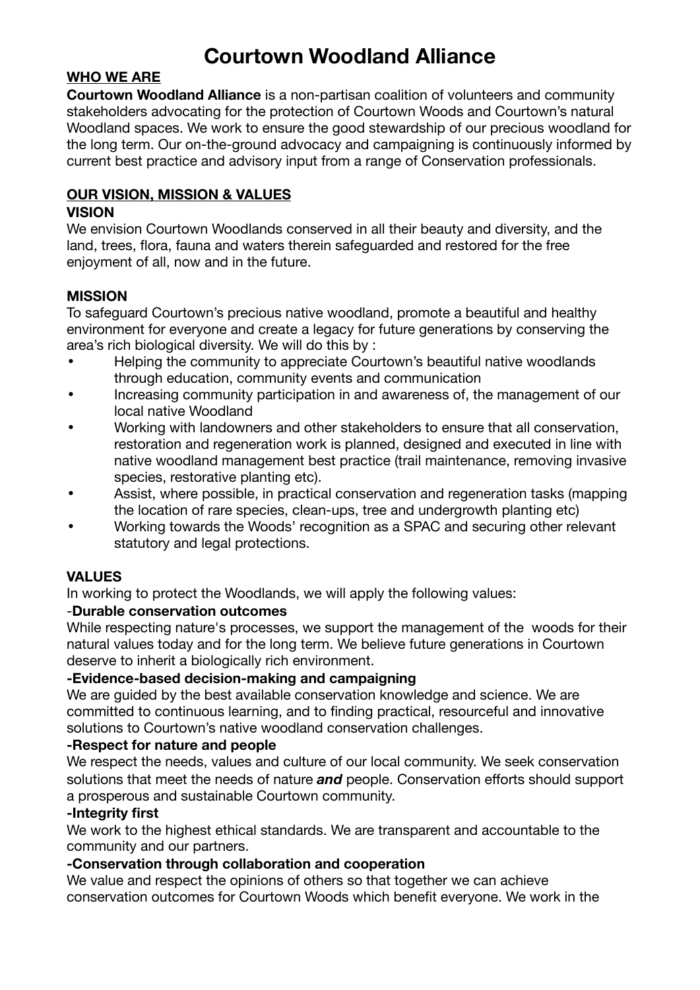# **Courtown Woodland Alliance**

## **WHO WE ARE**

**Courtown Woodland Alliance** is a non-partisan coalition of volunteers and community stakeholders advocating for the protection of Courtown Woods and Courtown's natural Woodland spaces. We work to ensure the good stewardship of our precious woodland for the long term. Our on-the-ground advocacy and campaigning is continuously informed by current best practice and advisory input from a range of Conservation professionals.

## **OUR VISION, MISSION & VALUES**

#### **VISION**

We envision Courtown Woodlands conserved in all their beauty and diversity, and the land, trees, flora, fauna and waters therein safeguarded and restored for the free enjoyment of all, now and in the future.

## **MISSION**

To safeguard Courtown's precious native woodland, promote a beautiful and healthy environment for everyone and create a legacy for future generations by conserving the area's rich biological diversity. We will do this by :

- Helping the community to appreciate Courtown's beautiful native woodlands through education, community events and communication
- Increasing community participation in and awareness of, the management of our local native Woodland
- Working with landowners and other stakeholders to ensure that all conservation, restoration and regeneration work is planned, designed and executed in line with native woodland management best practice (trail maintenance, removing invasive species, restorative planting etc).
- Assist, where possible, in practical conservation and regeneration tasks (mapping the location of rare species, clean-ups, tree and undergrowth planting etc)
- Working towards the Woods' recognition as a SPAC and securing other relevant statutory and legal protections.

#### **VALUES**

In working to protect the Woodlands, we will apply the following values:

#### -**Durable conservation outcomes**

While respecting nature's processes, we support the management of the woods for their natural values today and for the long term. We believe future generations in Courtown deserve to inherit a biologically rich environment.

#### **-Evidence-based decision-making and campaigning**

We are guided by the best available conservation knowledge and science. We are committed to continuous learning, and to finding practical, resourceful and innovative solutions to Courtown's native woodland conservation challenges.

#### **-Respect for nature and people**

We respect the needs, values and culture of our local community. We seek conservation solutions that meet the needs of nature *and* people. Conservation efforts should support a prosperous and sustainable Courtown community.

#### **-Integrity first**

We work to the highest ethical standards. We are transparent and accountable to the community and our partners.

#### **-Conservation through collaboration and cooperation**

We value and respect the opinions of others so that together we can achieve conservation outcomes for Courtown Woods which benefit everyone. We work in the